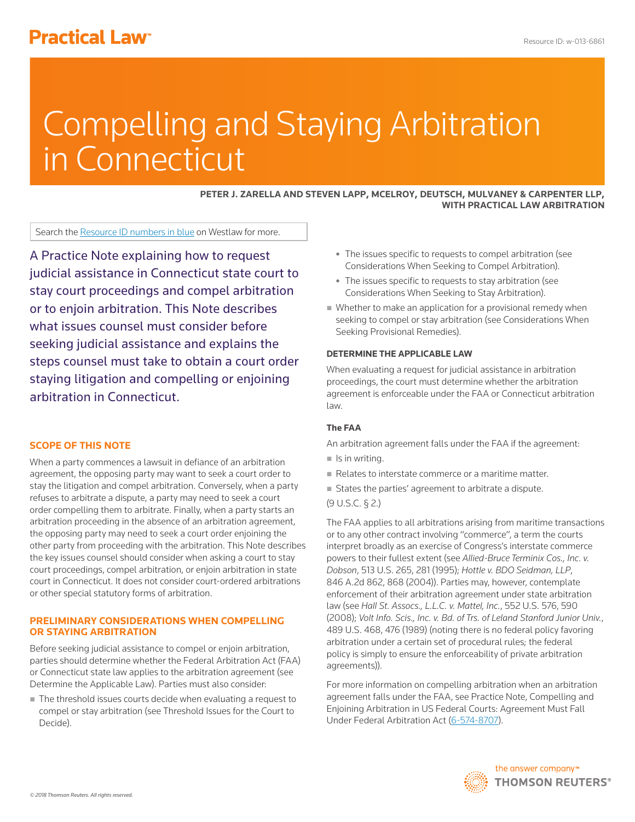# **Practical Law<sup>®</sup>**

# Compelling and Staying Arbitration in Connecticut

**PETER J. ZARELLA AND STEVEN LAPP, MCELROY, DEUTSCH, MULVANEY & CARPENTER LLP, WITH PRACTICAL LAW ARBITRATION**

Search the Resource ID numbers in blue on Westlaw for more.

A Practice Note explaining how to request judicial assistance in Connecticut state court to stay court proceedings and compel arbitration or to enjoin arbitration. This Note describes what issues counsel must consider before seeking judicial assistance and explains the steps counsel must take to obtain a court order staying litigation and compelling or enjoining arbitration in Connecticut.

# **SCOPE OF THIS NOTE**

When a party commences a lawsuit in defiance of an arbitration agreement, the opposing party may want to seek a court order to stay the litigation and compel arbitration. Conversely, when a party refuses to arbitrate a dispute, a party may need to seek a court order compelling them to arbitrate. Finally, when a party starts an arbitration proceeding in the absence of an arbitration agreement, the opposing party may need to seek a court order enjoining the other party from proceeding with the arbitration. This Note describes the key issues counsel should consider when asking a court to stay court proceedings, compel arbitration, or enjoin arbitration in state court in Connecticut. It does not consider court-ordered arbitrations or other special statutory forms of arbitration.

# **PRELIMINARY CONSIDERATIONS WHEN COMPELLING OR STAYING ARBITRATION**

Before seeking judicial assistance to compel or enjoin arbitration, parties should determine whether the Federal Arbitration Act (FAA) or Connecticut state law applies to the arbitration agreement (see Determine the Applicable Law). Parties must also consider:

The threshold issues courts decide when evaluating a request to compel or stay arbitration (see Threshold Issues for the Court to Decide).

- The issues specific to requests to compel arbitration (see Considerations When Seeking to Compel Arbitration).
- The issues specific to requests to stay arbitration (see Considerations When Seeking to Stay Arbitration).
- Whether to make an application for a provisional remedy when seeking to compel or stay arbitration (see Considerations When Seeking Provisional Remedies).

# **DETERMINE THE APPLICABLE LAW**

When evaluating a request for judicial assistance in arbitration proceedings, the court must determine whether the arbitration agreement is enforceable under the FAA or Connecticut arbitration law.

# **The FAA**

An arbitration agreement falls under the FAA if the agreement:

- $\blacksquare$  Is in writing.
- Relates to interstate commerce or a maritime matter.
- States the parties' agreement to arbitrate a dispute.
- (9 U.S.C. § 2.)

The FAA applies to all arbitrations arising from maritime transactions or to any other contract involving "commerce", a term the courts interpret broadly as an exercise of Congress's interstate commerce powers to their fullest extent (see *Allied-Bruce Terminix Cos., Inc. v. Dobson*, 513 U.S. 265, 281 (1995); *Hottle v. BDO Seidman, LLP*, 846 A.2d 862, 868 (2004)). Parties may, however, contemplate enforcement of their arbitration agreement under state arbitration law (see *Hall St. Assocs., L.L.C. v. Mattel, Inc.*, 552 U.S. 576, 590 (2008); *Volt Info. Scis., Inc. v. Bd. of Trs. of Leland Stanford Junior Univ.*, 489 U.S. 468, 476 (1989) (noting there is no federal policy favoring arbitration under a certain set of procedural rules; the federal policy is simply to ensure the enforceability of private arbitration agreements)).

For more information on compelling arbitration when an arbitration agreement falls under the FAA, see Practice Note, Compelling and Enjoining Arbitration in US Federal Courts: Agreement Must Fall Under Federal Arbitration Act (6-574-8707).

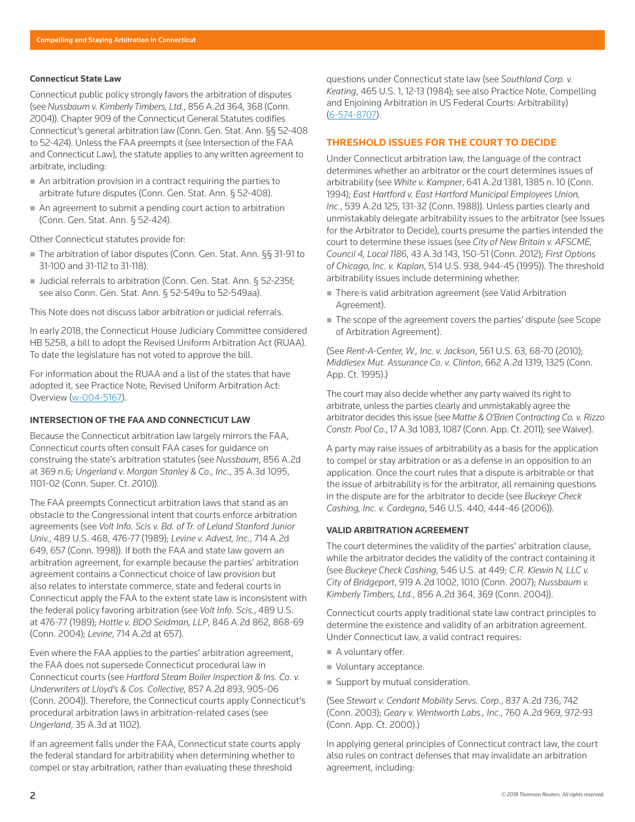#### **Connecticut State Law**

Connecticut public policy strongly favors the arbitration of disputes (see *Nussbaum v. Kimberly Timbers, Ltd.*, 856 A.2d 364, 368 (Conn. 2004)). Chapter 909 of the Connecticut General Statutes codifies Connecticut's general arbitration law (Conn. Gen. Stat. Ann. §§ 52-408 to 52-424). Unless the FAA preempts it (see Intersection of the FAA and Connecticut Law), the statute applies to any written agreement to arbitrate, including:

- An arbitration provision in a contract requiring the parties to arbitrate future disputes (Conn. Gen. Stat. Ann. § 52-408).
- An agreement to submit a pending court action to arbitration (Conn. Gen. Stat. Ann. § 52-424).

Other Connecticut statutes provide for:

- The arbitration of labor disputes (Conn. Gen. Stat. Ann. §§ 31-91 to 31-100 and 31-112 to 31-118).
- Judicial referrals to arbitration (Conn. Gen. Stat. Ann. § 52-235f; see also Conn. Gen. Stat. Ann. § 52-549u to 52-549aa).

This Note does not discuss labor arbitration or judicial referrals.

In early 2018, the Connecticut House Judiciary Committee considered HB 5258, a bill to adopt the Revised Uniform Arbitration Act (RUAA). To date the legislature has not voted to approve the bill.

For information about the RUAA and a list of the states that have adopted it, see Practice Note, Revised Uniform Arbitration Act: Overview (w-004-5167).

# **INTERSECTION OF THE FAA AND CONNECTICUT LAW**

Because the Connecticut arbitration law largely mirrors the FAA, Connecticut courts often consult FAA cases for guidance on construing the state's arbitration statutes (see *Nussbaum*, 856 A.2d at 369 n.6; *Ungerland v. Morgan Stanley & Co., Inc.*, 35 A.3d 1095, 1101-02 (Conn. Super. Ct. 2010)).

The FAA preempts Connecticut arbitration laws that stand as an obstacle to the Congressional intent that courts enforce arbitration agreements (see *Volt Info. Scis v. Bd. of Tr. of Leland Stanford Junior Univ.*, 489 U.S. 468, 476-77 (1989); *Levine v. Advest, Inc.*, 714 A.2d 649, 657 (Conn. 1998)). If both the FAA and state law govern an arbitration agreement, for example because the parties' arbitration agreement contains a Connecticut choice of law provision but also relates to interstate commerce, state and federal courts in Connecticut apply the FAA to the extent state law is inconsistent with the federal policy favoring arbitration (see *Volt Info. Scis.*, 489 U.S. at 476-77 (1989); *Hottle v. BDO Seidman, LLP*, 846 A.2d 862, 868-69 (Conn. 2004); *Levine*, 714 A.2d at 657).

Even where the FAA applies to the parties' arbitration agreement, the FAA does not supersede Connecticut procedural law in Connecticut courts (see *Hartford Steam Boiler Inspection & Ins. Co. v. Underwriters at Lloyd's & Cos. Collective*, 857 A.2d 893, 905-06 (Conn. 2004)). Therefore, the Connecticut courts apply Connecticut's procedural arbitration laws in arbitration-related cases (see *Ungerland*, 35 A.3d at 1102).

If an agreement falls under the FAA, Connecticut state courts apply the federal standard for arbitrability when determining whether to compel or stay arbitration, rather than evaluating these threshold

questions under Connecticut state law (see *Southland Corp. v. Keating*, 465 U.S. 1, 12-13 (1984); see also Practice Note, Compelling and Enjoining Arbitration in US Federal Courts: Arbitrability) (6-574-8707).

# **THRESHOLD ISSUES FOR THE COURT TO DECIDE**

Under Connecticut arbitration law, the language of the contract determines whether an arbitrator or the court determines issues of arbitrability (see *White v. Kampner*, 641 A.2d 1381, 1385 n. 10 (Conn. 1994); *East Hartford v. East Hartford Municipal Employees Union, Inc.*, 539 A.2d 125, 131-32 (Conn. 1988)). Unless parties clearly and unmistakably delegate arbitrability issues to the arbitrator (see Issues for the Arbitrator to Decide), courts presume the parties intended the court to determine these issues (see *City of New Britain v. AFSCME, Council 4, Local 1186*, 43 A.3d 143, 150-51 (Conn. 2012); *First Options of Chicago, Inc. v. Kaplan*, 514 U.S. 938, 944-45 (1995)). The threshold arbitrability issues include determining whether:

- There is valid arbitration agreement (see Valid Arbitration Agreement).
- The scope of the agreement covers the parties' dispute (see Scope of Arbitration Agreement).

(See *Rent-A-Center, W., Inc. v. Jackson*, 561 U.S. 63, 68-70 (2010); *Middlesex Mut. Assurance Co. v. Clinton*, 662 A.2d 1319, 1325 (Conn. App. Ct. 1995).)

The court may also decide whether any party waived its right to arbitrate, unless the parties clearly and unmistakably agree the arbitrator decides this issue (see *Mattie & O'Brien Contracting Co. v. Rizzo Constr. Pool Co.*, 17 A.3d 1083, 1087 (Conn. App. Ct. 2011); see Waiver).

A party may raise issues of arbitrability as a basis for the application to compel or stay arbitration or as a defense in an opposition to an application. Once the court rules that a dispute is arbitrable or that the issue of arbitrability is for the arbitrator, all remaining questions in the dispute are for the arbitrator to decide (see *Buckeye Check Cashing, Inc. v. Cardegna*, 546 U.S. 440, 444-46 (2006)).

#### **VALID ARBITRATION AGREEMENT**

The court determines the validity of the parties' arbitration clause, while the arbitrator decides the validity of the contract containing it (see *Buckeye Check Cashing*, 546 U.S. at 449; *C.R. Klewin N, LLC v. City of Bridgeport*, 919 A.2d 1002, 1010 (Conn. 2007); *Nussbaum v. Kimberly Timbers, Ltd.*, 856 A.2d 364, 369 (Conn. 2004)).

Connecticut courts apply traditional state law contract principles to determine the existence and validity of an arbitration agreement. Under Connecticut law, a valid contract requires:

- A voluntary offer.
- **Voluntary acceptance.**
- Support by mutual consideration.

(See *Stewart v. Cendant Mobility Servs. Corp.*, 837 A.2d 736, 742 (Conn. 2003); *Geary v. Wentworth Labs., Inc.*, 760 A.2d 969, 972-93 (Conn. App. Ct. 2000).)

In applying general principles of Connecticut contract law, the court also rules on contract defenses that may invalidate an arbitration agreement, including: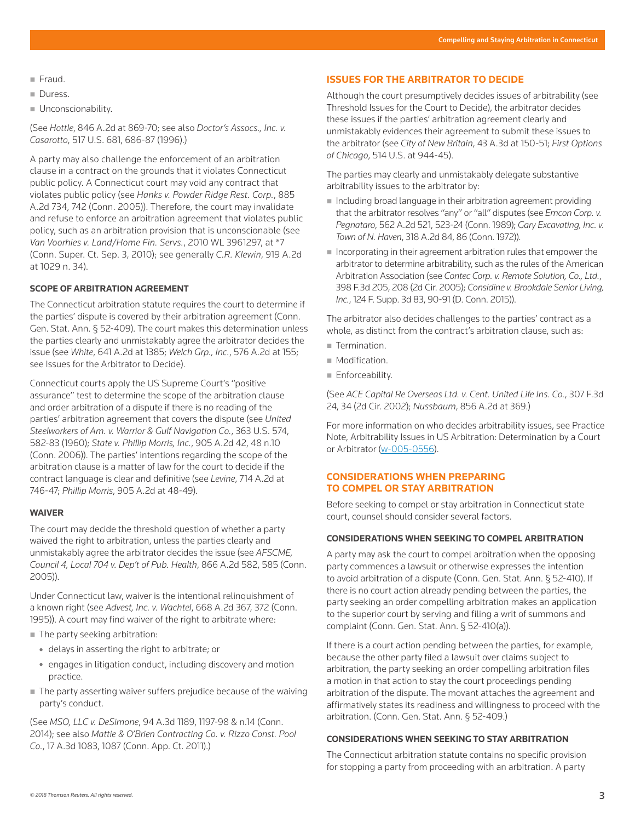- $F$ Fraud.
- **Duress.**
- **Unconscionability.**

(See *Hottle*, 846 A.2d at 869-70; see also *Doctor's Assocs., Inc. v. Casarotto*, 517 U.S. 681, 686-87 (1996).)

A party may also challenge the enforcement of an arbitration clause in a contract on the grounds that it violates Connecticut public policy. A Connecticut court may void any contract that violates public policy (see *Hanks v. Powder Ridge Rest. Corp.*, 885 A.2d 734, 742 (Conn. 2005)). Therefore, the court may invalidate and refuse to enforce an arbitration agreement that violates public policy, such as an arbitration provision that is unconscionable (see *Van Voorhies v. Land/Home Fin. Servs.*, 2010 WL 3961297, at \*7 (Conn. Super. Ct. Sep. 3, 2010); see generally *C.R. Klewin*, 919 A.2d at 1029 n. 34).

# **SCOPE OF ARBITRATION AGREEMENT**

The Connecticut arbitration statute requires the court to determine if the parties' dispute is covered by their arbitration agreement (Conn. Gen. Stat. Ann. § 52-409). The court makes this determination unless the parties clearly and unmistakably agree the arbitrator decides the issue (see *White*, 641 A.2d at 1385; *Welch Grp., Inc.*, 576 A.2d at 155; see Issues for the Arbitrator to Decide).

Connecticut courts apply the US Supreme Court's "positive assurance" test to determine the scope of the arbitration clause and order arbitration of a dispute if there is no reading of the parties' arbitration agreement that covers the dispute (see *United Steelworkers of Am. v. Warrior & Gulf Navigation Co.*, 363 U.S. 574, 582-83 (1960); *State v. Phillip Morris, Inc.*, 905 A.2d 42, 48 n.10 (Conn. 2006)). The parties' intentions regarding the scope of the arbitration clause is a matter of law for the court to decide if the contract language is clear and definitive (see *Levine*, 714 A.2d at 746-47; *Phillip Morris*, 905 A.2d at 48-49).

# **WAIVER**

The court may decide the threshold question of whether a party waived the right to arbitration, unless the parties clearly and unmistakably agree the arbitrator decides the issue (see *AFSCME, Council 4, Local 704 v. Dep't of Pub. Health*, 866 A.2d 582, 585 (Conn. 2005)).

Under Connecticut law, waiver is the intentional relinquishment of a known right (see *Advest, Inc. v. Wachtel*, 668 A.2d 367, 372 (Conn. 1995)). A court may find waiver of the right to arbitrate where:

- The party seeking arbitration:
	- delays in asserting the right to arbitrate; or
	- engages in litigation conduct, including discovery and motion practice.
- The party asserting waiver suffers prejudice because of the waiving party's conduct.

(See *MSO, LLC v. DeSimone*, 94 A.3d 1189, 1197-98 & n.14 (Conn. 2014); see also *Mattie & O'Brien Contracting Co. v. Rizzo Const. Pool Co.*, 17 A.3d 1083, 1087 (Conn. App. Ct. 2011).)

# **ISSUES FOR THE ARBITRATOR TO DECIDE**

Although the court presumptively decides issues of arbitrability (see Threshold Issues for the Court to Decide), the arbitrator decides these issues if the parties' arbitration agreement clearly and unmistakably evidences their agreement to submit these issues to the arbitrator (see *City of New Britain*, 43 A.3d at 150-51; *First Options of Chicago*, 514 U.S. at 944-45).

The parties may clearly and unmistakably delegate substantive arbitrability issues to the arbitrator by:

- Including broad language in their arbitration agreement providing that the arbitrator resolves "any" or "all" disputes (see *Emcon Corp. v. Pegnataro*, 562 A.2d 521, 523-24 (Conn. 1989); *Gary Excavating, Inc. v. Town of N. Haven*, 318 A.2d 84, 86 (Conn. 1972)).
- $\blacksquare$  Incorporating in their agreement arbitration rules that empower the arbitrator to determine arbitrability, such as the rules of the American Arbitration Association (see *Contec Corp. v. Remote Solution, Co., Ltd.*, 398 F.3d 205, 208 (2d Cir. 2005); *Considine v. Brookdale Senior Living, Inc.*, 124 F. Supp. 3d 83, 90-91 (D. Conn. 2015)).

The arbitrator also decides challenges to the parties' contract as a whole, as distinct from the contract's arbitration clause, such as:

- Termination.
- **Modification.**
- **Enforceability.**

(See *ACE Capital Re Overseas Ltd. v. Cent. United Life Ins. Co.*, 307 F.3d 24, 34 (2d Cir. 2002); *Nussbaum*, 856 A.2d at 369.)

For more information on who decides arbitrability issues, see Practice Note, Arbitrability Issues in US Arbitration: Determination by a Court or Arbitrator (w-005-0556).

# **CONSIDERATIONS WHEN PREPARING TO COMPEL OR STAY ARBITRATION**

Before seeking to compel or stay arbitration in Connecticut state court, counsel should consider several factors.

# **CONSIDERATIONS WHEN SEEKING TO COMPEL ARBITRATION**

A party may ask the court to compel arbitration when the opposing party commences a lawsuit or otherwise expresses the intention to avoid arbitration of a dispute (Conn. Gen. Stat. Ann. § 52-410). If there is no court action already pending between the parties, the party seeking an order compelling arbitration makes an application to the superior court by serving and filing a writ of summons and complaint (Conn. Gen. Stat. Ann. § 52-410(a)).

If there is a court action pending between the parties, for example, because the other party filed a lawsuit over claims subject to arbitration, the party seeking an order compelling arbitration files a motion in that action to stay the court proceedings pending arbitration of the dispute. The movant attaches the agreement and affirmatively states its readiness and willingness to proceed with the arbitration. (Conn. Gen. Stat. Ann. § 52-409.)

#### **CONSIDERATIONS WHEN SEEKING TO STAY ARBITRATION**

The Connecticut arbitration statute contains no specific provision for stopping a party from proceeding with an arbitration. A party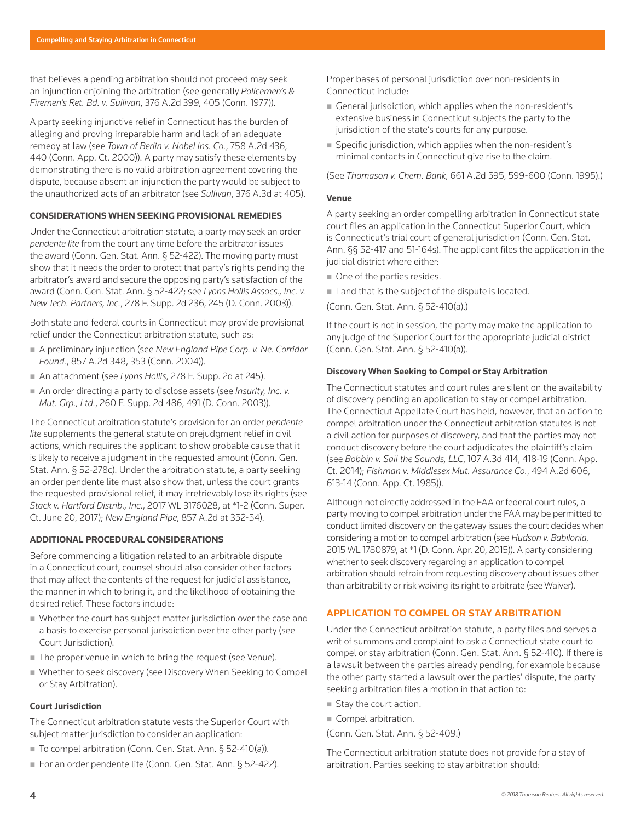that believes a pending arbitration should not proceed may seek an injunction enjoining the arbitration (see generally *Policemen's & Firemen's Ret. Bd. v. Sullivan*, 376 A.2d 399, 405 (Conn. 1977)).

A party seeking injunctive relief in Connecticut has the burden of alleging and proving irreparable harm and lack of an adequate remedy at law (see *Town of Berlin v. Nobel Ins. Co.*, 758 A.2d 436, 440 (Conn. App. Ct. 2000)). A party may satisfy these elements by demonstrating there is no valid arbitration agreement covering the dispute, because absent an injunction the party would be subject to the unauthorized acts of an arbitrator (see *Sullivan*, 376 A.3d at 405).

#### **CONSIDERATIONS WHEN SEEKING PROVISIONAL REMEDIES**

Under the Connecticut arbitration statute, a party may seek an order *pendente lite* from the court any time before the arbitrator issues the award (Conn. Gen. Stat. Ann. § 52-422). The moving party must show that it needs the order to protect that party's rights pending the arbitrator's award and secure the opposing party's satisfaction of the award (Conn. Gen. Stat. Ann. § 52-422; see *Lyons Hollis Assocs., Inc. v. New Tech. Partners, Inc.*, 278 F. Supp. 2d 236, 245 (D. Conn. 2003)).

Both state and federal courts in Connecticut may provide provisional relief under the Connecticut arbitration statute, such as:

- A preliminary injunction (see *New England Pipe Corp. v. Ne. Corridor Found.*, 857 A.2d 348, 353 (Conn. 2004)).
- An attachment (see *Lyons Hollis*, 278 F. Supp. 2d at 245).
- An order directing a party to disclose assets (see *Insurity, Inc. v. Mut. Grp., Ltd.*, 260 F. Supp. 2d 486, 491 (D. Conn. 2003)).

The Connecticut arbitration statute's provision for an order *pendente lite* supplements the general statute on prejudgment relief in civil actions, which requires the applicant to show probable cause that it is likely to receive a judgment in the requested amount (Conn. Gen. Stat. Ann. § 52-278c). Under the arbitration statute, a party seeking an order pendente lite must also show that, unless the court grants the requested provisional relief, it may irretrievably lose its rights (see *Stack v. Hartford Distrib., Inc.*, 2017 WL 3176028, at \*1-2 (Conn. Super. Ct. June 20, 2017); *New England Pipe*, 857 A.2d at 352-54).

#### **ADDITIONAL PROCEDURAL CONSIDERATIONS**

Before commencing a litigation related to an arbitrable dispute in a Connecticut court, counsel should also consider other factors that may affect the contents of the request for judicial assistance, the manner in which to bring it, and the likelihood of obtaining the desired relief. These factors include:

- Whether the court has subject matter jurisdiction over the case and a basis to exercise personal jurisdiction over the other party (see Court Jurisdiction).
- The proper venue in which to bring the request (see Venue).
- Whether to seek discovery (see Discovery When Seeking to Compel or Stay Arbitration).

#### **Court Jurisdiction**

The Connecticut arbitration statute vests the Superior Court with subject matter jurisdiction to consider an application:

- To compel arbitration (Conn. Gen. Stat. Ann. § 52-410(a)).
- For an order pendente lite (Conn. Gen. Stat. Ann. § 52-422).

Proper bases of personal jurisdiction over non-residents in Connecticut include:

- General jurisdiction, which applies when the non-resident's extensive business in Connecticut subjects the party to the jurisdiction of the state's courts for any purpose.
- Specific jurisdiction, which applies when the non-resident's minimal contacts in Connecticut give rise to the claim.

(See *Thomason v. Chem. Bank*, 661 A.2d 595, 599-600 (Conn. 1995).)

#### **Venue**

A party seeking an order compelling arbitration in Connecticut state court files an application in the Connecticut Superior Court, which is Connecticut's trial court of general jurisdiction (Conn. Gen. Stat. Ann. §§ 52-417 and 51-164s). The applicant files the application in the judicial district where either:

- One of the parties resides.
- Land that is the subject of the dispute is located.
- (Conn. Gen. Stat. Ann. § 52-410(a).)

If the court is not in session, the party may make the application to any judge of the Superior Court for the appropriate judicial district (Conn. Gen. Stat. Ann. § 52-410(a)).

#### **Discovery When Seeking to Compel or Stay Arbitration**

The Connecticut statutes and court rules are silent on the availability of discovery pending an application to stay or compel arbitration. The Connecticut Appellate Court has held, however, that an action to compel arbitration under the Connecticut arbitration statutes is not a civil action for purposes of discovery, and that the parties may not conduct discovery before the court adjudicates the plaintiff's claim (see *Bobbin v. Sail the Sounds, LLC*, 107 A.3d 414, 418-19 (Conn. App. Ct. 2014); *Fishman v. Middlesex Mut. Assurance Co.*, 494 A.2d 606, 613-14 (Conn. App. Ct. 1985)).

Although not directly addressed in the FAA or federal court rules, a party moving to compel arbitration under the FAA may be permitted to conduct limited discovery on the gateway issues the court decides when considering a motion to compel arbitration (see *Hudson v. Babilonia*, 2015 WL 1780879, at \*1 (D. Conn. Apr. 20, 2015)). A party considering whether to seek discovery regarding an application to compel arbitration should refrain from requesting discovery about issues other than arbitrability or risk waiving its right to arbitrate (see Waiver).

# **APPLICATION TO COMPEL OR STAY ARBITRATION**

Under the Connecticut arbitration statute, a party files and serves a writ of summons and complaint to ask a Connecticut state court to compel or stay arbitration (Conn. Gen. Stat. Ann. § 52-410). If there is a lawsuit between the parties already pending, for example because the other party started a lawsuit over the parties' dispute, the party seeking arbitration files a motion in that action to:

- Stay the court action.
- Compel arbitration.
- (Conn. Gen. Stat. Ann. § 52-409.)

The Connecticut arbitration statute does not provide for a stay of arbitration. Parties seeking to stay arbitration should: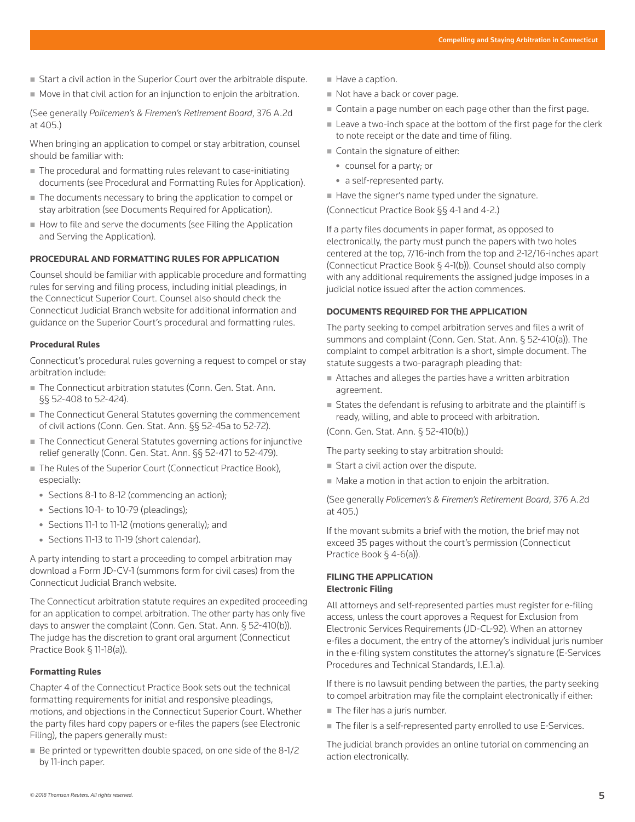- Start a civil action in the Superior Court over the arbitrable dispute.
- Move in that civil action for an injunction to enjoin the arbitration.

(See generally *Policemen's & Firemen's Retirement Board*, 376 A.2d at 405.)

When bringing an application to compel or stay arbitration, counsel should be familiar with:

- The procedural and formatting rules relevant to case-initiating documents (see Procedural and Formatting Rules for Application).
- The documents necessary to bring the application to compel or stay arbitration (see Documents Required for Application).
- $\blacksquare$  How to file and serve the documents (see Filing the Application and Serving the Application).

# **PROCEDURAL AND FORMATTING RULES FOR APPLICATION**

Counsel should be familiar with applicable procedure and formatting rules for serving and filing process, including initial pleadings, in the Connecticut Superior Court. Counsel also should check the Connecticut Judicial Branch website for additional information and guidance on the Superior Court's procedural and formatting rules.

#### **Procedural Rules**

Connecticut's procedural rules governing a request to compel or stay arbitration include:

- The Connecticut arbitration statutes (Conn. Gen. Stat. Ann. §§ 52-408 to 52-424).
- The Connecticut General Statutes governing the commencement of civil actions (Conn. Gen. Stat. Ann. §§ 52-45a to 52-72).
- The Connecticut General Statutes governing actions for injunctive relief generally (Conn. Gen. Stat. Ann. §§ 52-471 to 52-479).
- The Rules of the Superior Court (Connecticut Practice Book), especially:
	- $\bullet$  Sections 8-1 to 8-12 (commencing an action);
	- Sections 10-1- to 10-79 (pleadings);
	- Sections 11-1 to 11-12 (motions generally); and
	- Sections 11-13 to 11-19 (short calendar).

A party intending to start a proceeding to compel arbitration may download a Form JD-CV-1 (summons form for civil cases) from the Connecticut Judicial Branch website.

The Connecticut arbitration statute requires an expedited proceeding for an application to compel arbitration. The other party has only five days to answer the complaint (Conn. Gen. Stat. Ann. § 52-410(b)). The judge has the discretion to grant oral argument (Connecticut Practice Book § 11-18(a)).

#### **Formatting Rules**

Chapter 4 of the Connecticut Practice Book sets out the technical formatting requirements for initial and responsive pleadings, motions, and objections in the Connecticut Superior Court. Whether the party files hard copy papers or e-files the papers (see Electronic Filing), the papers generally must:

Be printed or typewritten double spaced, on one side of the 8-1/2 by 11-inch paper.

- Have a caption.
- Not have a back or cover page.
- Contain a page number on each page other than the first page.
- Leave a two-inch space at the bottom of the first page for the clerk to note receipt or the date and time of filing.
- Contain the signature of either:
	- counsel for a party; or
	- a self-represented party.
- $\blacksquare$  Have the signer's name typed under the signature.

(Connecticut Practice Book §§ 4-1 and 4-2.)

If a party files documents in paper format, as opposed to electronically, the party must punch the papers with two holes centered at the top, 7/16-inch from the top and 2-12/16-inches apart (Connecticut Practice Book § 4-1(b)). Counsel should also comply with any additional requirements the assigned judge imposes in a judicial notice issued after the action commences.

#### **DOCUMENTS REQUIRED FOR THE APPLICATION**

The party seeking to compel arbitration serves and files a writ of summons and complaint (Conn. Gen. Stat. Ann. § 52-410(a)). The complaint to compel arbitration is a short, simple document. The statute suggests a two-paragraph pleading that:

- Attaches and alleges the parties have a written arbitration agreement.
- States the defendant is refusing to arbitrate and the plaintiff is ready, willing, and able to proceed with arbitration.

(Conn. Gen. Stat. Ann. § 52-410(b).)

The party seeking to stay arbitration should:

- Start a civil action over the dispute.
- Make a motion in that action to enjoin the arbitration.

(See generally *Policemen's & Firemen's Retirement Board*, 376 A.2d at 405.)

If the movant submits a brief with the motion, the brief may not exceed 35 pages without the court's permission (Connecticut Practice Book § 4-6(a)).

# **FILING THE APPLICATION Electronic Filing**

All attorneys and self-represented parties must register for e-filing access, unless the court approves a Request for Exclusion from Electronic Services Requirements (JD-CL-92). When an attorney e-files a document, the entry of the attorney's individual juris number in the e-filing system constitutes the attorney's signature (E-Services Procedures and Technical Standards, I.E.1.a).

If there is no lawsuit pending between the parties, the party seeking to compel arbitration may file the complaint electronically if either:

- The filer has a juris number.
- The filer is a self-represented party enrolled to use E-Services.

The judicial branch provides an online tutorial on commencing an action electronically.